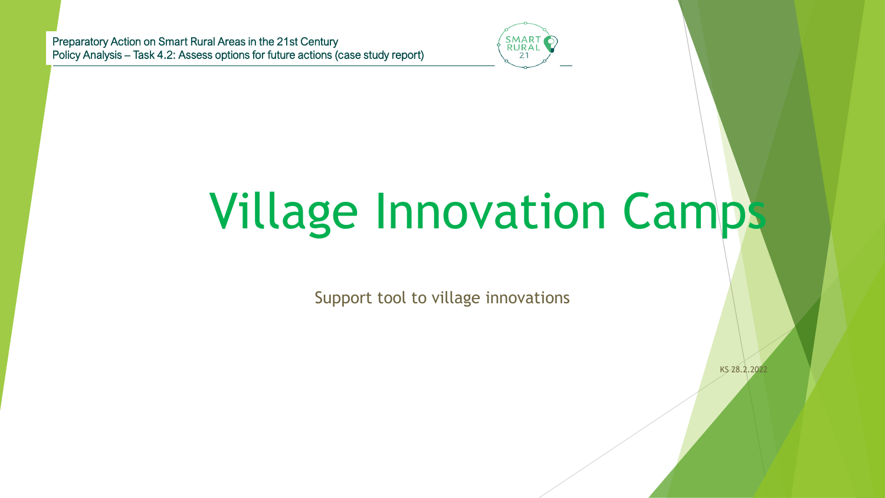Preparatory Action on Smart Rural Areas in the 21st Century Policy Analysis – Task 4.2: Assess options for future actions (case study report)



# Village Innovation Camps

Support tool to village innovations

KS 28.2.2022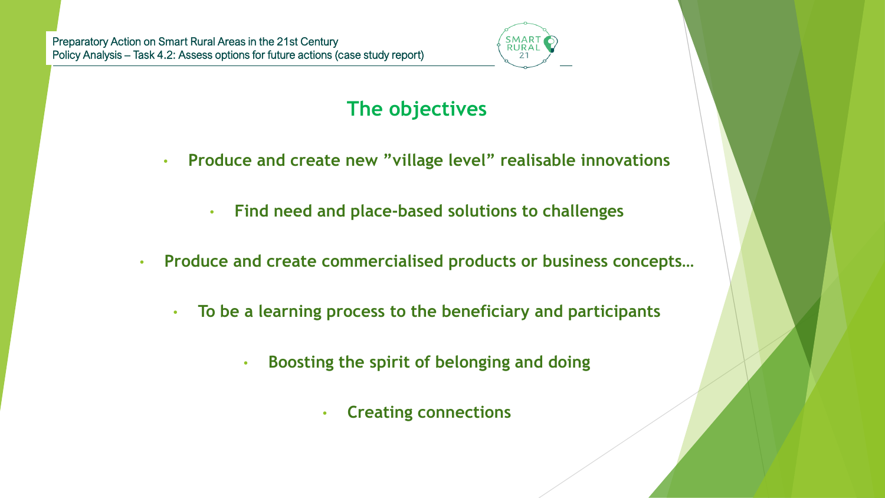

### **The objectives**

- **Produce and create new "village level" realisable innovations**
	- **Find need and place-based solutions to challenges**
- **Produce and create commercialised products or business concepts…**
	- **To be a learning process to the beneficiary and participants**
		- **Boosting the spirit of belonging and doing**
			- **Creating connections**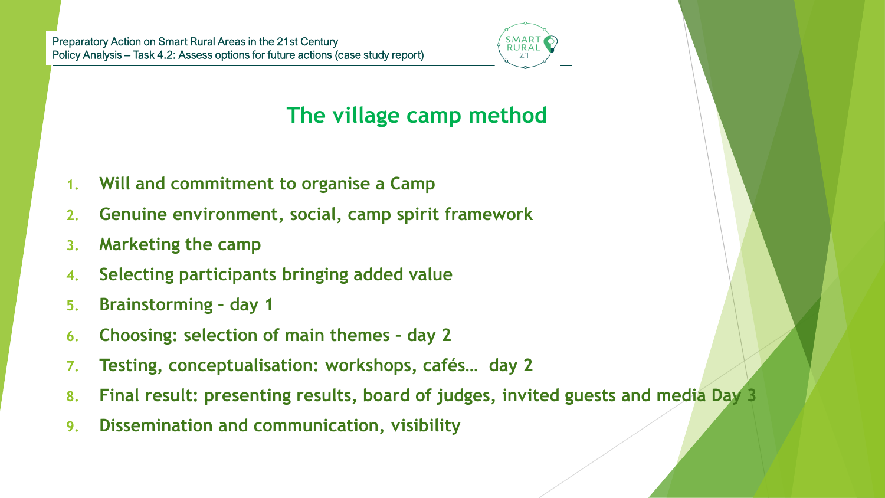

## **The village camp method**

- **1. Will and commitment to organise a Camp**
- **2. Genuine environment, social, camp spirit framework**
- **3. Marketing the camp**
- **4. Selecting participants bringing added value**
- **5. Brainstorming – day 1**
- **6. Choosing: selection of main themes – day 2**
- **7. Testing, conceptualisation: workshops, cafés… day 2**
- **8. Final result: presenting results, board of judges, invited guests and media Day 3**
- **9. Dissemination and communication, visibility**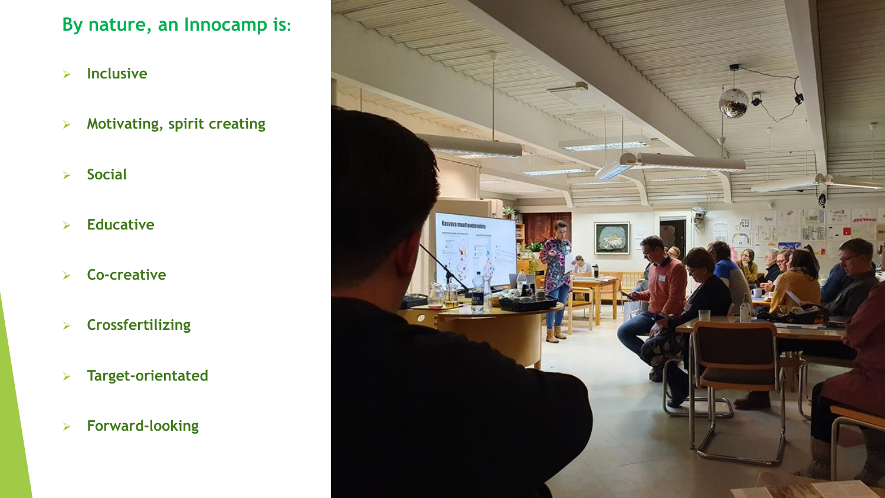#### **By nature, an Innocamp is:**

- ➢ **Inclusive**
- ➢ **Motivating, spirit creating**
- ➢ **Social**
- ➢ **Educative**
- ➢ **Co-creative**
- ➢ **Crossfertilizing**
- ➢ **Target-orientated**
- ➢ **Forward-looking**

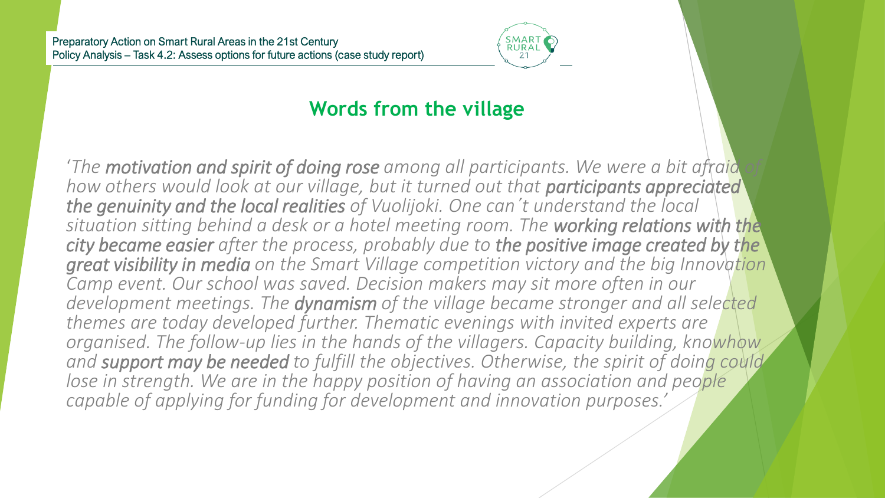

#### **Words from the village**

'The **motivation and spirit of doing rose** among all participants. We were a bit afraid *how others would look at our village, but it turned out that participants appreciated the genuinity and the local realities of Vuolijoki. One can´t understand the local situation sitting behind a desk or a hotel meeting room. The working relations with the city became easier after the process, probably due to the positive image created by the great visibility in media on the Smart Village competition victory and the big Innovation Camp event. Our school was saved. Decision makers may sit more often in our development meetings. The dynamism of the village became stronger and all selected themes are today developed further. Thematic evenings with invited experts are organised. The follow-up lies in the hands of the villagers. Capacity building, knowhow and support may be needed to fulfill the objectives. Otherwise, the spirit of doing could lose in strength. We are in the happy position of having an association and people capable of applying for funding for development and innovation purposes.'*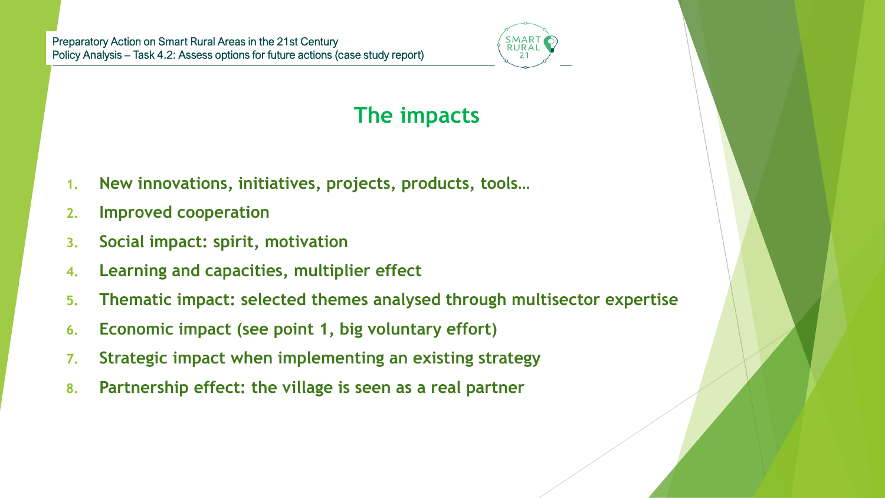

# **The impacts**

- **1. New innovations, initiatives, projects, products, tools…**
- **2. Improved cooperation**
- **3. Social impact: spirit, motivation**
- **4. Learning and capacities, multiplier effect**
- **5. Thematic impact: selected themes analysed through multisector expertise**
- **6. Economic impact (see point 1, big voluntary effort)**
- **7. Strategic impact when implementing an existing strategy**
- **8. Partnership effect: the village is seen as a real partner**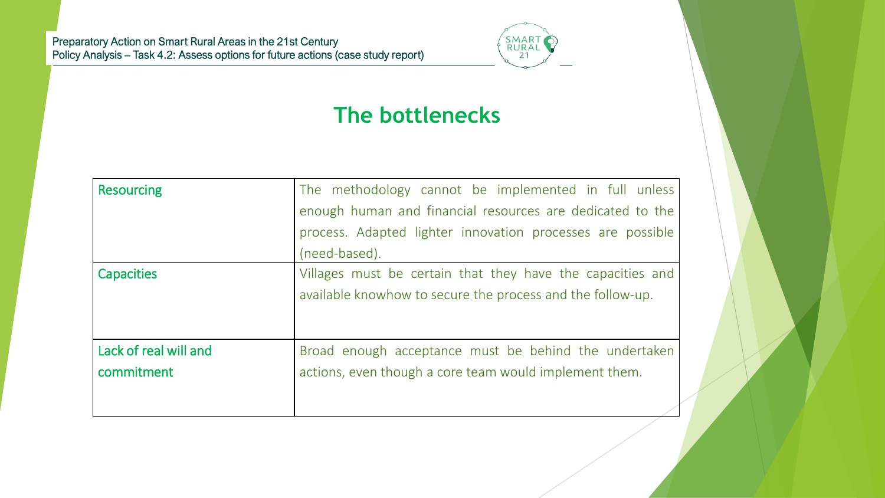

### **The bottlenecks**

| <b>Resourcing</b>     | The methodology cannot be implemented in full unless       |
|-----------------------|------------------------------------------------------------|
|                       | enough human and financial resources are dedicated to the  |
|                       | process. Adapted lighter innovation processes are possible |
|                       | (need-based).                                              |
| <b>Capacities</b>     | Villages must be certain that they have the capacities and |
|                       | available knowhow to secure the process and the follow-up. |
|                       |                                                            |
|                       |                                                            |
| Lack of real will and | Broad enough acceptance must be behind the undertaken      |
| commitment            | actions, even though a core team would implement them.     |
|                       |                                                            |
|                       |                                                            |